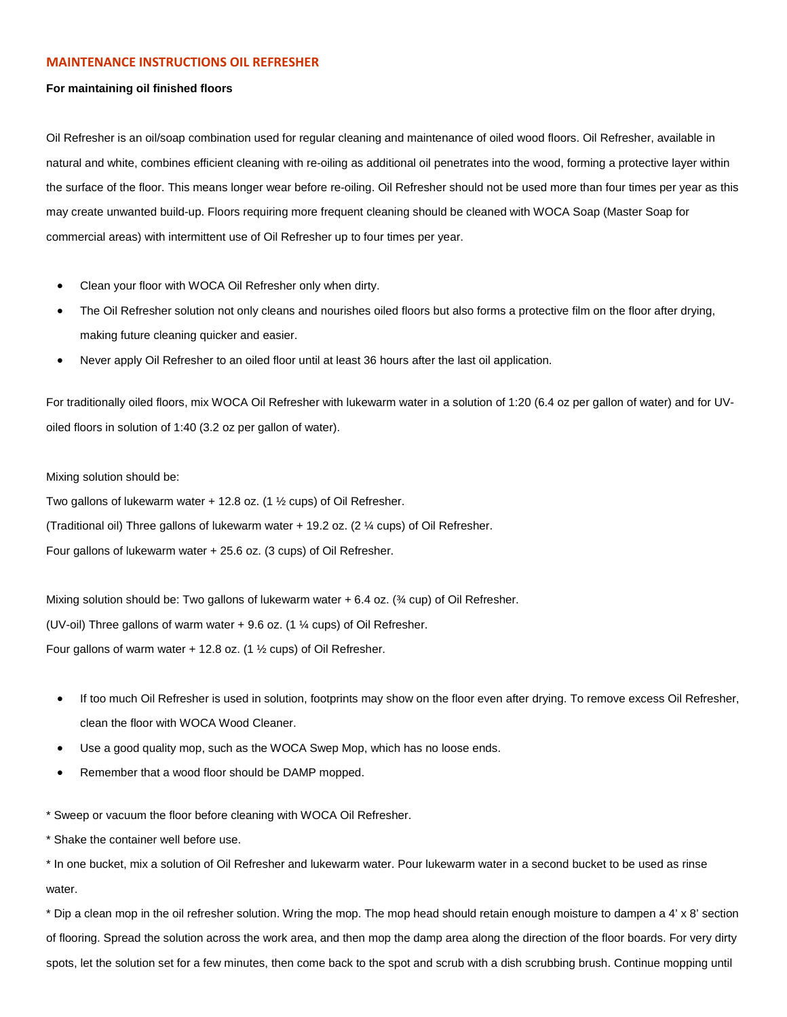## **MAINTENANCE INSTRUCTIONS OIL REFRESHER**

## **For maintaining oil finished floors**

Oil Refresher is an oil/soap combination used for regular cleaning and maintenance of oiled wood floors. Oil Refresher, available in natural and white, combines efficient cleaning with re-oiling as additional oil penetrates into the wood, forming a protective layer within the surface of the floor. This means longer wear before re-oiling. Oil Refresher should not be used more than four times per year as this may create unwanted build-up. Floors requiring more frequent cleaning should be cleaned with WOCA Soap (Master Soap for commercial areas) with intermittent use of Oil Refresher up to four times per year.

- Clean your floor with WOCA Oil Refresher only when dirty.
- The Oil Refresher solution not only cleans and nourishes oiled floors but also forms a protective film on the floor after drying, making future cleaning quicker and easier.
- Never apply Oil Refresher to an oiled floor until at least 36 hours after the last oil application.

For traditionally oiled floors, mix WOCA Oil Refresher with lukewarm water in a solution of 1:20 (6.4 oz per gallon of water) and for UVoiled floors in solution of 1:40 (3.2 oz per gallon of water).

Mixing solution should be:

Two gallons of lukewarm water + 12.8 oz. (1 ½ cups) of Oil Refresher.

(Traditional oil) Three gallons of lukewarm water + 19.2 oz. (2 ¼ cups) of Oil Refresher.

Four gallons of lukewarm water + 25.6 oz. (3 cups) of Oil Refresher.

Mixing solution should be: Two gallons of lukewarm water + 6.4 oz. (¾ cup) of Oil Refresher. (UV-oil) Three gallons of warm water + 9.6 oz. (1 ¼ cups) of Oil Refresher. Four gallons of warm water  $+$  12.8 oz. (1  $\frac{1}{2}$  cups) of Oil Refresher.

- If too much Oil Refresher is used in solution, footprints may show on the floor even after drying. To remove excess Oil Refresher, clean the floor with WOCA Wood Cleaner.
- Use a good quality mop, such as the WOCA Swep Mop, which has no loose ends.
- Remember that a wood floor should be DAMP mopped.

\* Sweep or vacuum the floor before cleaning with WOCA Oil Refresher.

\* Shake the container well before use.

\* In one bucket, mix a solution of Oil Refresher and lukewarm water. Pour lukewarm water in a second bucket to be used as rinse water.

\* Dip a clean mop in the oil refresher solution. Wring the mop. The mop head should retain enough moisture to dampen a 4' x 8' section of flooring. Spread the solution across the work area, and then mop the damp area along the direction of the floor boards. For very dirty spots, let the solution set for a few minutes, then come back to the spot and scrub with a dish scrubbing brush. Continue mopping until